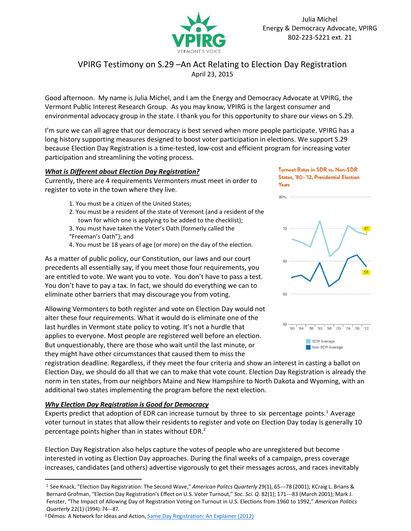

# VPIRG Testimony on S.29 –An Act Relating to Election Day Registration April 23, 2015

Good afternoon. My name is Julia Michel, and I am the Energy and Democracy Advocate at VPIRG, the Vermont Public Interest Research Group. As you may know, VPIRG is the largest consumer and environmental advocacy group in the state. I thank you for this opportunity to share our views on S.29.

I'm sure we can all agree that our democracy is best served when more people participate. VPIRG has a long history supporting measures designed to boost voter participation in elections. We support S.29 because Election Day Registration is a time-tested, low-cost and efficient program for increasing voter participation and streamlining the voting process.

## *What is Different about Election Day Registration?*

Currently, there are 4 requirements Vermonters must meet in order to register to vote in the town where they live.

- 1. You must be a citizen of the United States;
- 2. You must be a resident of the state of Vermont (and a resident of the town for which one is applying to be added to the checklist);
- 3. You must have taken the Voter's Oath (formerly called the "Freeman's Oath"); and
- 4. You must be 18 years of age (or more) on the day of the election.

As a matter of public policy, our Constitution, our laws and our court precedents all essentially say, if you meet those four requirements, you are entitled to vote. We want you to vote. You don't have to pass a test. You don't have to pay a tax. In fact, we should do everything we can to eliminate other barriers that may discourage you from voting.

Allowing Vermonters to both register and vote on Election Day would not alter these four requirements. What it would do is eliminate one of the last hurdles in Vermont state policy to voting. It's not a hurdle that applies to everyone. Most people are registered well before an election. But unquestionably, there are those who wait until the last minute, or they might have other circumstances that caused them to miss the

**Turnout Rates in SDR vs. Non-SDR** States, '80-'12, Presidential Election **Years** 

80%



registration deadline. Regardless, if they meet the four criteria and show an interest in casting a ballot on Election Day, we should do all that we can to make that vote count. Election Day Registration is already the norm in ten states, from our neighbors Maine and New Hampshire to North Dakota and Wyoming, with an additional two states implementing the program before the next election.

## *Why Election Day Registration is Good for Democracy*

Experts predict that adoption of EDR can increase turnout by three to six percentage points.<sup>1</sup> Average voter turnout in states that allow their residents to register and vote on Election Day today is generally 10 percentage points higher than in states without EDR.<sup>2</sup>

Election Day Registration also helps capture the votes of people who are unregistered but become interested in voting as Election Day approaches. During the final weeks of a campaign, press coverage increases, candidates (and others) advertise vigorously to get their messages across, and races inevitably

<sup>&</sup>lt;sup>1</sup> See Knack, "Election Day Registration: The Second Wave," American Politcs Quarterly 29(1), 65---78 (2001); KCraig L. Brians & Bernard Grofman, "Election Day Registration's Effect on U.S. Voter Turnout," Soc. Sci. Q. 82(1); 171---83 (March 2001); Mark J. Fenster, "The Impact of Allowing Day of Registration Voting on Turnout in U.S. Elections from 1960 to 1992," *American Politics Quarterly* 22(1) (1994): 74---87.

<sup>&</sup>lt;sup>2</sup> Dēmos: A Network for Ideas and Action, **[Same Day Registration: An Explainer \(2012\)](http://www.demos.org/publication/what-same-day-registration-where-it-available)**